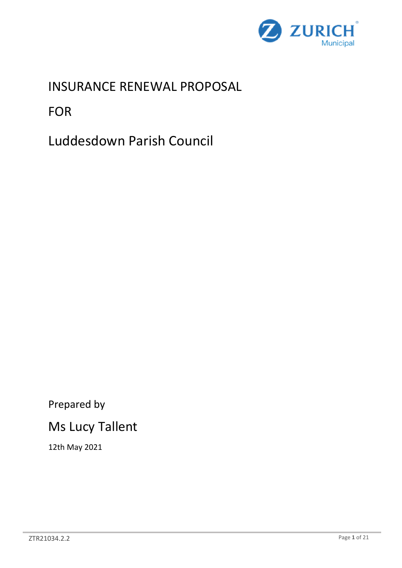

INSURANCE RENEWAL PROPOSAL

FOR

Luddesdown Parish Council

Prepared by

# Ms Lucy Tallent

12th May 2021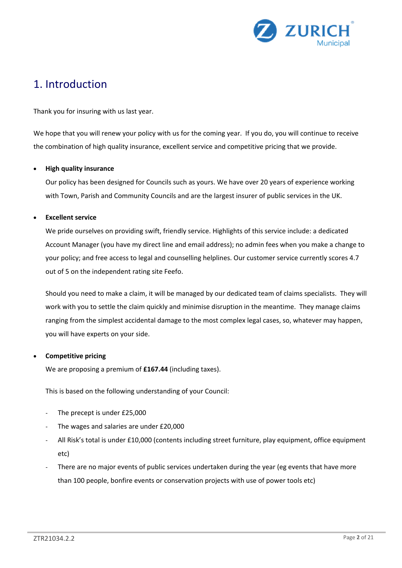

# 1. Introduction

Thank you for insuring with us last year.

We hope that you will renew your policy with us for the coming year. If you do, you will continue to receive the combination of high quality insurance, excellent service and competitive pricing that we provide.

### **High quality insurance**

Our policy has been designed for Councils such as yours. We have over 20 years of experience working with Town, Parish and Community Councils and are the largest insurer of public services in the UK.

### **Excellent service**

We pride ourselves on providing swift, friendly service. Highlights of this service include: a dedicated Account Manager (you have my direct line and email address); no admin fees when you make a change to your policy; and free access to legal and counselling helplines. Our customer service currently scores 4.7 out of 5 on the independent rating site Feefo.

Should you need to make a claim, it will be managed by our dedicated team of claims specialists. They will work with you to settle the claim quickly and minimise disruption in the meantime. They manage claims ranging from the simplest accidental damage to the most complex legal cases, so, whatever may happen, you will have experts on your side.

#### **Competitive pricing**

We are proposing a premium of **£167.44** (including taxes).

This is based on the following understanding of your Council:

- The precept is under £25,000
- The wages and salaries are under £20,000
- All Risk's total is under £10,000 (contents including street furniture, play equipment, office equipment etc)
- There are no major events of public services undertaken during the year (eg events that have more than 100 people, bonfire events or conservation projects with use of power tools etc)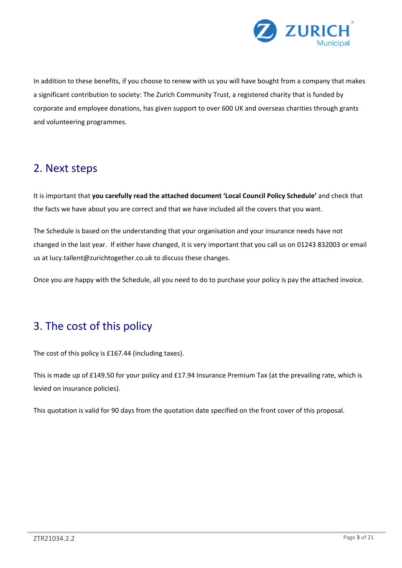

In addition to these benefits, if you choose to renew with us you will have bought from a company that makes a significant contribution to society: The Zurich Community Trust, a registered charity that is funded by corporate and employee donations, has given support to over 600 UK and overseas charities through grants and volunteering programmes.

# 2. Next steps

It is important that **you carefully read the attached document 'Local Council Policy Schedule'** and check that the facts we have about you are correct and that we have included all the covers that you want.

The Schedule is based on the understanding that your organisation and your insurance needs have not changed in the last year. If either have changed, it is very important that you call us on 01243 832003 or email us at lucy.tallent@zurichtogether.co.uk to discuss these changes.

Once you are happy with the Schedule, all you need to do to purchase your policy is pay the attached invoice.

# 3. The cost of this policy

The cost of this policy is £167.44 (including taxes).

This is made up of £149.50 for your policy and £17.94 Insurance Premium Tax (at the prevailing rate, which is levied on insurance policies).

This quotation is valid for 90 days from the quotation date specified on the front cover of this proposal.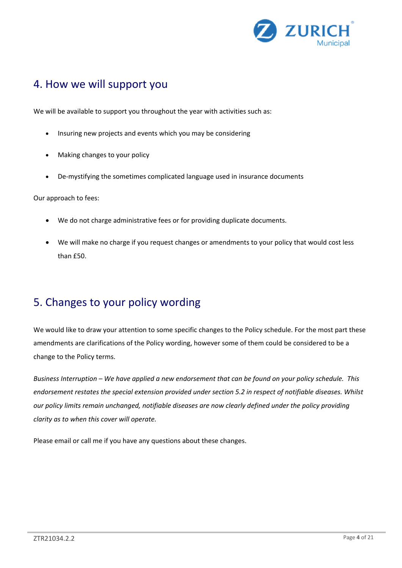

### 4. How we will support you

We will be available to support you throughout the year with activities such as:

- Insuring new projects and events which you may be considering
- Making changes to your policy
- De-mystifying the sometimes complicated language used in insurance documents

Our approach to fees:

- We do not charge administrative fees or for providing duplicate documents.
- We will make no charge if you request changes or amendments to your policy that would cost less  $than$  $F50.$

# 5. Changes to your policy wording

We would like to draw your attention to some specific changes to the Policy schedule. For the most part these amendments are clarifications of the Policy wording, however some of them could be considered to be a change to the Policy terms.

*Business Interruption – We have applied a new endorsement that can be found on your policy schedule. This endorsement restates the special extension provided under section 5.2 in respect of notifiable diseases. Whilst our policy limits remain unchanged, notifiable diseases are now clearly defined under the policy providing clarity as to when this cover will operate.* 

Please email or call me if you have any questions about these changes.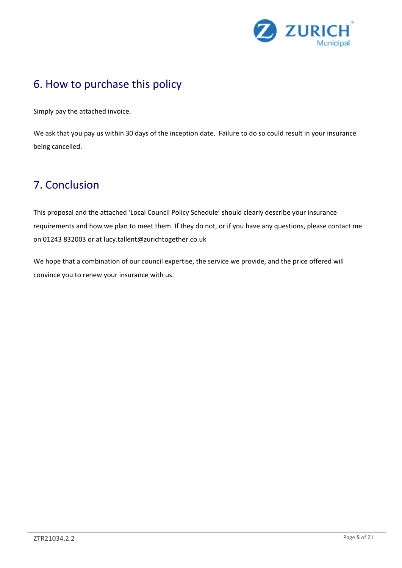

# 6. How to purchase this policy

Simply pay the attached invoice.

We ask that you pay us within 30 days of the inception date. Failure to do so could result in your insurance being cancelled.

# 7. Conclusion

This proposal and the attached 'Local Council Policy Schedule' should clearly describe your insurance requirements and how we plan to meet them. If they do not, or if you have any questions, please contact me on 01243 832003 or at lucy.tallent@zurichtogether.co.uk

We hope that a combination of our council expertise, the service we provide, and the price offered will convince you to renew your insurance with us.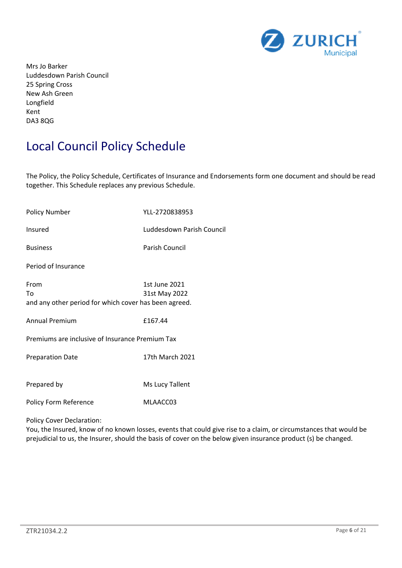

Mrs Jo Barker Luddesdown Parish Council 25 Spring Cross New Ash Green Longfield Kent DA3 8QG

# Local Council Policy Schedule

The Policy, the Policy Schedule, Certificates of Insurance and Endorsements form one document and should be read together. This Schedule replaces any previous Schedule.

| <b>Policy Number</b>                                                | YLL-2720838953                 |
|---------------------------------------------------------------------|--------------------------------|
| Insured                                                             | Luddesdown Parish Council      |
| <b>Business</b>                                                     | <b>Parish Council</b>          |
| Period of Insurance                                                 |                                |
| From<br>To<br>and any other period for which cover has been agreed. | 1st June 2021<br>31st May 2022 |
| <b>Annual Premium</b>                                               | £167.44                        |
| Premiums are inclusive of Insurance Premium Tax                     |                                |
| <b>Preparation Date</b>                                             | 17th March 2021                |
| Prepared by                                                         | Ms Lucy Tallent                |
| Policy Form Reference                                               | MLAACC03                       |

#### Policy Cover Declaration:

You, the Insured, know of no known losses, events that could give rise to a claim, or circumstances that would be prejudicial to us, the Insurer, should the basis of cover on the below given insurance product (s) be changed.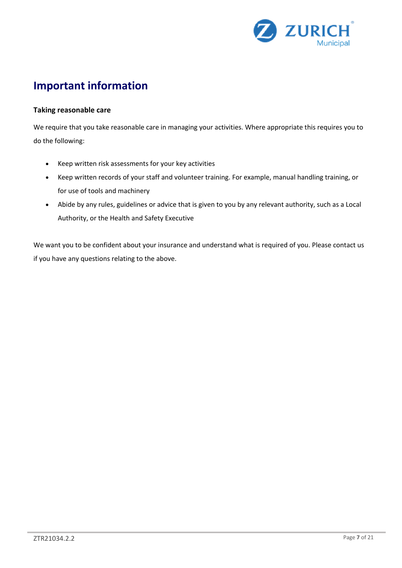

# **Important information**

### **Taking reasonable care**

We require that you take reasonable care in managing your activities. Where appropriate this requires you to do the following:

- Keep written risk assessments for your key activities
- Keep written records of your staff and volunteer training. For example, manual handling training, or for use of tools and machinery
- Abide by any rules, guidelines or advice that is given to you by any relevant authority, such as a Local Authority, or the Health and Safety Executive

We want you to be confident about your insurance and understand what is required of you. Please contact us if you have any questions relating to the above.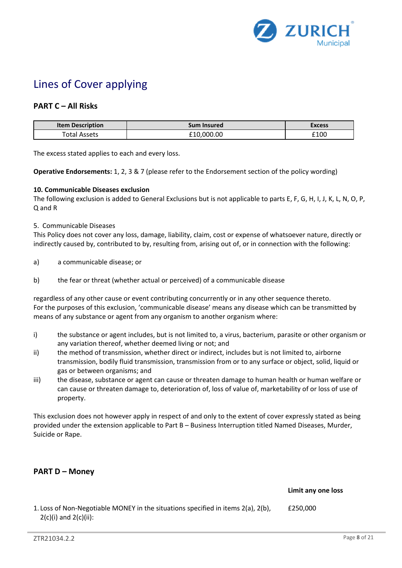

# Lines of Cover applying

### **PART C – All Risks**

| <b>Item Description</b>                    | sum<br><b>Insured</b> | Excess       |
|--------------------------------------------|-----------------------|--------------|
| $\sim$ to the set<br>Assats<br>Uld'<br>้นม | .00<br>. വധ           | £100<br>____ |

The excess stated applies to each and every loss.

**Operative Endorsements:** 1, 2, 3 & 7 (please refer to the Endorsement section of the policy wording)

#### **10. Communicable Diseases exclusion**

The following exclusion is added to General Exclusions but is not applicable to parts E, F, G, H, I, J, K, L, N, O, P, Q and R

#### 5. Communicable Diseases

This Policy does not cover any loss, damage, liability, claim, cost or expense of whatsoever nature, directly or indirectly caused by, contributed to by, resulting from, arising out of, or in connection with the following:

- a) a communicable disease; or
- b) the fear or threat (whether actual or perceived) of a communicable disease

regardless of any other cause or event contributing concurrently or in any other sequence thereto. For the purposes of this exclusion, 'communicable disease' means any disease which can be transmitted by means of any substance or agent from any organism to another organism where:

- i) the substance or agent includes, but is not limited to, a virus, bacterium, parasite or other organism or any variation thereof, whether deemed living or not; and
- ii) the method of transmission, whether direct or indirect, includes but is not limited to, airborne transmission, bodily fluid transmission, transmission from or to any surface or object, solid, liquid or gas or between organisms; and
- iii) the disease, substance or agent can cause or threaten damage to human health or human welfare or can cause or threaten damage to, deterioration of, loss of value of, marketability of or loss of use of property.

This exclusion does not however apply in respect of and only to the extent of cover expressly stated as being provided under the extension applicable to Part B – Business Interruption titled Named Diseases, Murder, Suicide or Rape.

### **PART D – Money**

**Limit any one loss**

1. Loss of Non-Negotiable MONEY in the situations specified in items 2(a), 2(b),  $2(c)(i)$  and  $2(c)(ii)$ : £250,000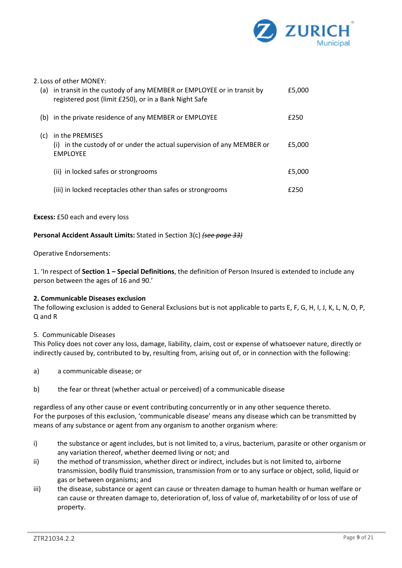

| (a) | 2. Loss of other MONEY:<br>in transit in the custody of any MEMBER or EMPLOYEE or in transit by<br>registered post (limit £250), or in a Bank Night Safe | £5,000 |
|-----|----------------------------------------------------------------------------------------------------------------------------------------------------------|--------|
|     | (b) in the private residence of any MEMBER or EMPLOYEE                                                                                                   | £250   |
| (c) | in the PREMISES<br>(i) in the custody of or under the actual supervision of any MEMBER or<br><b>EMPLOYEE</b>                                             | £5,000 |
|     | (ii) in locked safes or strongrooms                                                                                                                      | £5,000 |
|     | (iii) in locked receptacles other than safes or strongrooms                                                                                              | f250   |

**Excess:** £50 each and every loss

**Personal Accident Assault Limits:** Stated in Section 3(c) *(see page 33)*

Operative Endorsements:

1. 'In respect of **Section 1 – Special Definitions**, the definition of Person Insured is extended to include any person between the ages of 16 and 90.'

#### **2. Communicable Diseases exclusion**

The following exclusion is added to General Exclusions but is not applicable to parts E, F, G, H, I, J, K, L, N, O, P, Q and R

#### 5. Communicable Diseases

This Policy does not cover any loss, damage, liability, claim, cost or expense of whatsoever nature, directly or indirectly caused by, contributed to by, resulting from, arising out of, or in connection with the following:

- a) a communicable disease; or
- b) the fear or threat (whether actual or perceived) of a communicable disease

regardless of any other cause or event contributing concurrently or in any other sequence thereto. For the purposes of this exclusion, 'communicable disease' means any disease which can be transmitted by means of any substance or agent from any organism to another organism where:

- i) the substance or agent includes, but is not limited to, a virus, bacterium, parasite or other organism or any variation thereof, whether deemed living or not; and
- ii) the method of transmission, whether direct or indirect, includes but is not limited to, airborne transmission, bodily fluid transmission, transmission from or to any surface or object, solid, liquid or gas or between organisms; and
- iii) the disease, substance or agent can cause or threaten damage to human health or human welfare or can cause or threaten damage to, deterioration of, loss of value of, marketability of or loss of use of property.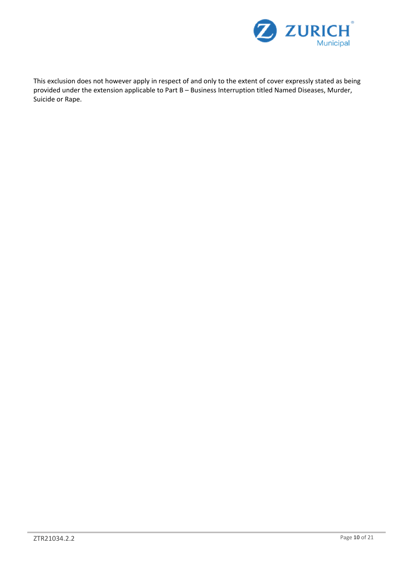

This exclusion does not however apply in respect of and only to the extent of cover expressly stated as being provided under the extension applicable to Part B – Business Interruption titled Named Diseases, Murder, Suicide or Rape.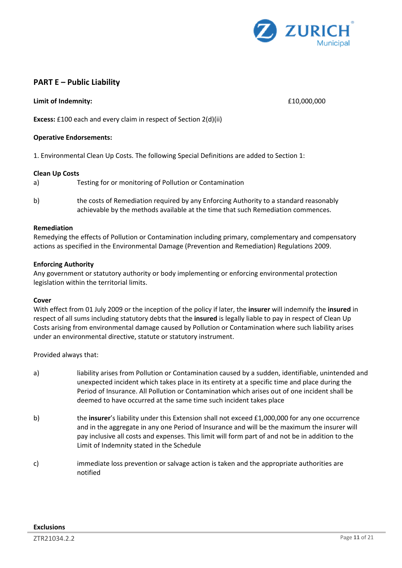

### **PART E – Public Liability**

**Limit of Indemnity:** £10,000,000

**Excess:** £100 each and every claim in respect of Section 2(d)(ii)

#### **Operative Endorsements:**

1. Environmental Clean Up Costs. The following Special Definitions are added to Section 1:

#### **Clean Up Costs**

- a) Testing for or monitoring of Pollution or Contamination
- b) the costs of Remediation required by any Enforcing Authority to a standard reasonably achievable by the methods available at the time that such Remediation commences.

#### **Remediation**

Remedying the effects of Pollution or Contamination including primary, complementary and compensatory actions as specified in the Environmental Damage (Prevention and Remediation) Regulations 2009.

#### **Enforcing Authority**

Any government or statutory authority or body implementing or enforcing environmental protection legislation within the territorial limits.

#### **Cover**

With effect from 01 July 2009 or the inception of the policy if later, the **insurer** will indemnify the **insured** in respect of all sums including statutory debts that the **insured** is legally liable to pay in respect of Clean Up Costs arising from environmental damage caused by Pollution or Contamination where such liability arises under an environmental directive, statute or statutory instrument.

Provided always that:

- a) liability arises from Pollution or Contamination caused by a sudden, identifiable, unintended and unexpected incident which takes place in its entirety at a specific time and place during the Period of Insurance. All Pollution or Contamination which arises out of one incident shall be deemed to have occurred at the same time such incident takes place
- b) the *insurer's liability under this Extension shall not exceed £1,000,000 for any one occurrence* and in the aggregate in any one Period of Insurance and will be the maximum the insurer will pay inclusive all costs and expenses. This limit will form part of and not be in addition to the Limit of Indemnity stated in the Schedule
- c) immediate loss prevention or salvage action is taken and the appropriate authorities are notified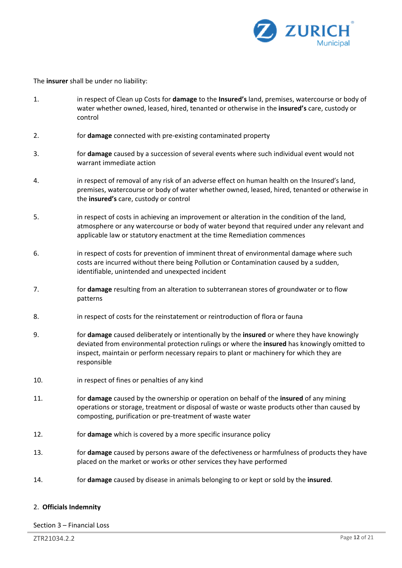

The **insurer** shall be under no liability:

- 1. in respect of Clean up Costs for **damage** to the **Insured's** land, premises, watercourse or body of water whether owned, leased, hired, tenanted or otherwise in the **insured's** care, custody or control
- 2. for **damage** connected with pre-existing contaminated property
- 3. for **damage** caused by a succession of several events where such individual event would not warrant immediate action
- 4. in respect of removal of any risk of an adverse effect on human health on the Insured's land, premises, watercourse or body of water whether owned, leased, hired, tenanted or otherwise in the **insured's** care, custody or control
- 5. in respect of costs in achieving an improvement or alteration in the condition of the land, atmosphere or any watercourse or body of water beyond that required under any relevant and applicable law or statutory enactment at the time Remediation commences
- 6. in respect of costs for prevention of imminent threat of environmental damage where such costs are incurred without there being Pollution or Contamination caused by a sudden, identifiable, unintended and unexpected incident
- 7. for **damage** resulting from an alteration to subterranean stores of groundwater or to flow patterns
- 8. in respect of costs for the reinstatement or reintroduction of flora or fauna
- 9. for **damage** caused deliberately or intentionally by the **insured** or where they have knowingly deviated from environmental protection rulings or where the **insured** has knowingly omitted to inspect, maintain or perform necessary repairs to plant or machinery for which they are responsible
- 10. in respect of fines or penalties of any kind
- 11. for **damage** caused by the ownership or operation on behalf of the **insured** of any mining operations or storage, treatment or disposal of waste or waste products other than caused by composting, purification or pre-treatment of waste water
- 12. for **damage** which is covered by a more specific insurance policy
- 13. for **damage** caused by persons aware of the defectiveness or harmfulness of products they have placed on the market or works or other services they have performed
- 14. for **damage** caused by disease in animals belonging to or kept or sold by the **insured**.

#### 2. **Officials Indemnity**

Section 3 – Financial Loss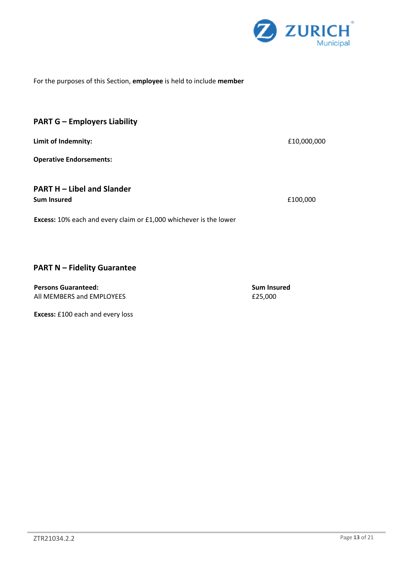

### For the purposes of this Section, **employee** is held to include **member**

### **PART G – Employers Liability**

**Limit of Indemnity:**  $£10,000,000$ 

**Operative Endorsements:**

### **PART H – Libel and Slander Sum Insured**  $f(100,000)$

**Excess:** 10% each and every claim or £1,000 whichever is the lower

### **PART N – Fidelity Guarantee**

**Persons Guaranteed: Sum Insured Sum Insured** All MEMBERS and EMPLOYEES **EXAMPLOYEES** 625,000

**Excess:** £100 each and every loss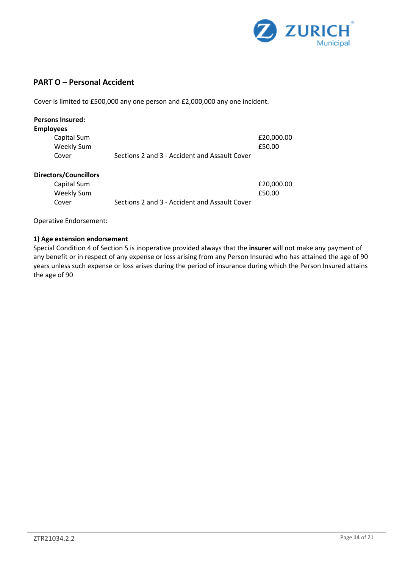

### **PART O – Personal Accident**

Cover is limited to £500,000 any one person and £2,000,000 any one incident.

| <b>Persons Insured:</b>      |                                               |            |
|------------------------------|-----------------------------------------------|------------|
| <b>Employees</b>             |                                               |            |
| Capital Sum                  |                                               | £20,000.00 |
| <b>Weekly Sum</b>            |                                               | £50.00     |
| Cover                        | Sections 2 and 3 - Accident and Assault Cover |            |
| <b>Directors/Councillors</b> |                                               |            |
| Capital Sum                  |                                               | £20,000.00 |
| <b>Weekly Sum</b>            |                                               | £50.00     |

Cover Sections 2 and 3 - Accident and Assault Cover

Operative Endorsement:

#### **1) Age extension endorsement**

Special Condition 4 of Section 5 is inoperative provided always that the **insurer** will not make any payment of any benefit or in respect of any expense or loss arising from any Person Insured who has attained the age of 90 years unless such expense or loss arises during the period of insurance during which the Person Insured attains the age of 90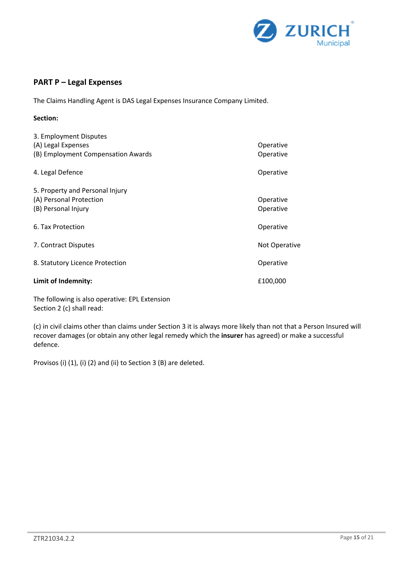

### **PART P – Legal Expenses**

The Claims Handling Agent is DAS Legal Expenses Insurance Company Limited.

### **Section:**

| 3. Employment Disputes             |               |
|------------------------------------|---------------|
| (A) Legal Expenses                 | Operative     |
| (B) Employment Compensation Awards | Operative     |
| 4. Legal Defence                   | Operative     |
| 5. Property and Personal Injury    |               |
| (A) Personal Protection            | Operative     |
| (B) Personal Injury                | Operative     |
| 6. Tax Protection                  | Operative     |
| 7. Contract Disputes               | Not Operative |
| 8. Statutory Licence Protection    | Operative     |
| Limit of Indemnity:                | £100,000      |

The following is also operative: EPL Extension Section 2 (c) shall read:

(c) in civil claims other than claims under Section 3 it is always more likely than not that a Person Insured will recover damages (or obtain any other legal remedy which the **insurer** has agreed) or make a successful defence.

Provisos (i) (1), (i) (2) and (ii) to Section 3 (B) are deleted.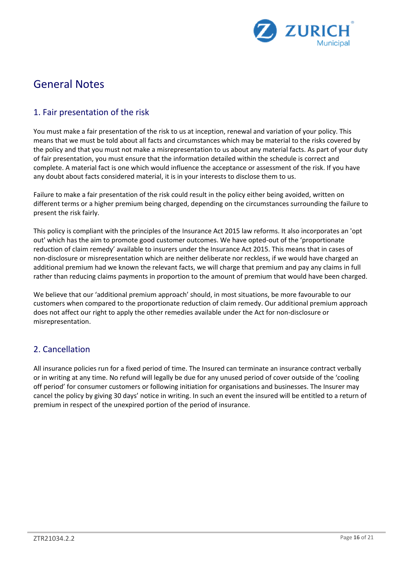

# General Notes

### 1. Fair presentation of the risk

You must make a fair presentation of the risk to us at inception, renewal and variation of your policy. This means that we must be told about all facts and circumstances which may be material to the risks covered by the policy and that you must not make a misrepresentation to us about any material facts. As part of your duty of fair presentation, you must ensure that the information detailed within the schedule is correct and complete. A material fact is one which would influence the acceptance or assessment of the risk. If you have any doubt about facts considered material, it is in your interests to disclose them to us.

Failure to make a fair presentation of the risk could result in the policy either being avoided, written on different terms or a higher premium being charged, depending on the circumstances surrounding the failure to present the risk fairly.

This policy is compliant with the principles of the Insurance Act 2015 law reforms. It also incorporates an 'opt out' which has the aim to promote good customer outcomes. We have opted-out of the 'proportionate reduction of claim remedy' available to insurers under the Insurance Act 2015. This means that in cases of non-disclosure or misrepresentation which are neither deliberate nor reckless, if we would have charged an additional premium had we known the relevant facts, we will charge that premium and pay any claims in full rather than reducing claims payments in proportion to the amount of premium that would have been charged.

We believe that our 'additional premium approach' should, in most situations, be more favourable to our customers when compared to the proportionate reduction of claim remedy. Our additional premium approach does not affect our right to apply the other remedies available under the Act for non-disclosure or misrepresentation.

### 2. Cancellation

All insurance policies run for a fixed period of time. The Insured can terminate an insurance contract verbally or in writing at any time. No refund will legally be due for any unused period of cover outside of the 'cooling off period' for consumer customers or following initiation for organisations and businesses. The Insurer may cancel the policy by giving 30 days' notice in writing. In such an event the insured will be entitled to a return of premium in respect of the unexpired portion of the period of insurance.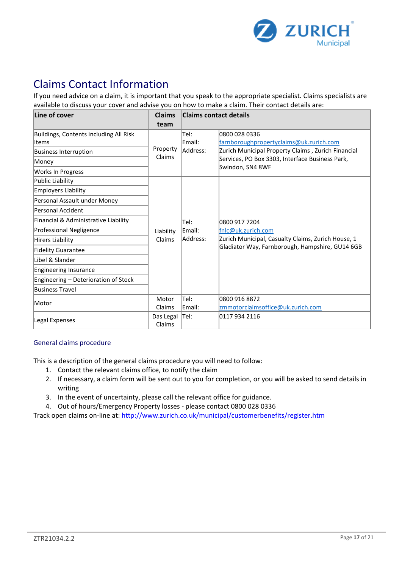

# Claims Contact Information

If you need advice on a claim, it is important that you speak to the appropriate specialist. Claims specialists are available to discuss your cover and advise you on how to make a claim. Their contact details are:

| Line of cover                          | <b>Claims</b>       | <b>Claims contact details</b> |                                                    |
|----------------------------------------|---------------------|-------------------------------|----------------------------------------------------|
|                                        | team                |                               |                                                    |
| Buildings, Contents including All Risk |                     | Tel:                          | 0800 028 0336                                      |
| lltems                                 |                     | Email:                        | farnboroughpropertyclaims@uk.zurich.com            |
| <b>Business Interruption</b>           | Property<br>Claims  | Address:                      | Zurich Municipal Property Claims, Zurich Financial |
| Money                                  |                     |                               | Services, PO Box 3303, Interface Business Park,    |
| Works In Progress                      |                     |                               | Swindon, SN4 8WF                                   |
| Public Liability                       |                     |                               |                                                    |
| Employers Liability                    |                     |                               |                                                    |
| Personal Assault under Money           |                     |                               |                                                    |
| Personal Accident                      |                     |                               |                                                    |
| Financial & Administrative Liability   |                     | Tel:                          | 0800 917 7204                                      |
| Professional Negligence                | Liability           | Email:                        | fnlc@uk.zurich.com                                 |
| Hirers Liability                       | Claims              | Address:                      | Zurich Municipal, Casualty Claims, Zurich House, 1 |
| <b>Fidelity Guarantee</b>              |                     |                               | Gladiator Way, Farnborough, Hampshire, GU14 6GB    |
| Libel & Slander                        |                     |                               |                                                    |
| Engineering Insurance                  |                     |                               |                                                    |
| Engineering - Deterioration of Stock   |                     |                               |                                                    |
| <b>Business Travel</b>                 |                     |                               |                                                    |
| Motor                                  | Motor               | Tel:                          | 0800 916 8872                                      |
|                                        | Claims              | Email:                        | zmmotorclaimsoffice@uk.zurich.com                  |
| Legal Expenses                         | Das Legal<br>Claims | Tel:                          | 0117 934 2116                                      |

#### General claims procedure

This is a description of the general claims procedure you will need to follow:

- 1. Contact the relevant claims office, to notify the claim
- 2. If necessary, a claim form will be sent out to you for completion, or you will be asked to send details in writing
- 3. In the event of uncertainty, please call the relevant office for guidance.
- 4. Out of hours/Emergency Property losses please contact 0800 028 0336

Track open claims on-line at:<http://www.zurich.co.uk/municipal/customerbenefits/register.htm>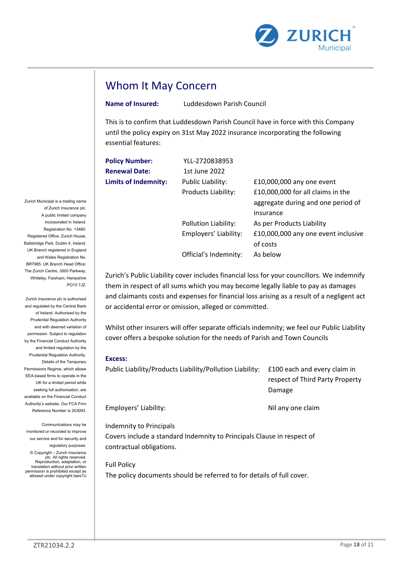

## Whom It May Concern

**Name of Insured:** Luddesdown Parish Council

This is to confirm that Luddesdown Parish Council have in force with this Company until the policy expiry on 31st May 2022 insurance incorporating the following essential features:

| <b>Policy Number:</b>       | YLL-2720838953        |                                     |
|-----------------------------|-----------------------|-------------------------------------|
| <b>Renewal Date:</b>        | 1st June 2022         |                                     |
| <b>Limits of Indemnity:</b> | Public Liability:     | £10,000,000 any one event           |
|                             | Products Liability:   | £10,000,000 for all claims in the   |
|                             |                       | aggregate during and one period of  |
|                             |                       | insurance                           |
|                             | Pollution Liability:  | As per Products Liability           |
|                             | Employers' Liability: | £10,000,000 any one event inclusive |
|                             |                       | of costs                            |
|                             | Official's Indemnity: | As below                            |

Zurich's Public Liability cover includes financial loss for your councillors. We indemnify them in respect of all sums which you may become legally liable to pay as damages and claimants costs and expenses for financial loss arising as a result of a negligent act or accidental error or omission, alleged or committed.

Whilst other insurers will offer separate officials indemnity; we feel our Public Liability cover offers a bespoke solution for the needs of Parish and Town Councils

#### **Excess:**

| Public Liability/Products Liability/Pollution Liability: | £100 each and every claim in    |  |
|----------------------------------------------------------|---------------------------------|--|
|                                                          | respect of Third Party Property |  |
|                                                          | Damage                          |  |
| Employers' Liability:                                    | Nil any one claim               |  |

Indemnity to Principals

Covers include a standard Indemnity to Principals Clause in respect of contractual obligations.

Full Policy The policy documents should be referred to for details of full cover.

Zurich Municipal is a trading name of Zurich Insurance plc. A public limited company incorporated in Ireland. Registration No. 13460. Registered Office: Zurich House, Ballsbridge Park, Dublin 4, Ireland. UK Branch registered in England and Wales Registration No. BR7985. UK Branch Head Office: The Zurich Centre, 3000 Parkway, Whiteley, Fareham, Hampshire PO15 7JZ.

Zurich Insurance plc is authorised and regulated by the Central Bank of Ireland. Authorised by the Prudential Regulation Authority and with deemed variation of permission. Subject to regulation by the Financial Conduct Authority and limited regulation by the Prudential Regulation Authority. Details of the Temporary Permissions Regime, which allows EEA-based firms to operate in the UK for a limited period while seeking full authorisation, are available on the Financial Conduct Authority's website. Our FCA Firm Reference Number is 203093.

Communications may be monitored or recorded to improve our service and for security and regulatory purposes.

© Copyright – Zurich Insurance plc. All rights reserved. Reproduction, adaptation, or translation without prior written permission is prohibited except as allowed under copyright lawsTo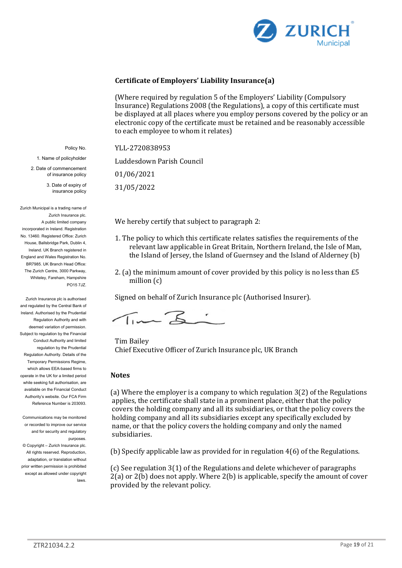

### **Certificate of Employers' Liability Insurance(a)**

(Where required by regulation 5 of the Employers' Liability (Compulsory Insurance) Regulations 2008 (the Regulations), a copy of this certificate must be displayed at all places where you employ persons covered by the policy or an electronic copy of the certificate must be retained and be reasonably accessible to each employee to whom it relates)

YLL-2720838953

Luddesdown Parish Council

01/06/2021

31/05/2022

We hereby certify that subject to paragraph 2:

- 1. The policy to which this certificate relates satisfies the requirements of the relevant law applicable in Great Britain, Northern Ireland, the Isle of Man, the Island of Jersey, the Island of Guernsey and the Island of Alderney (b)
- 2. (a) the minimum amount of cover provided by this policy is no less than £5 million (c)

Signed on behalf of Zurich Insurance plc (Authorised Insurer).

Tim Z:

Tim Bailey Chief Executive Officer of Zurich Insurance plc, UK Branch

#### **Notes**

(a) Where the employer is a company to which regulation 3(2) of the Regulations applies, the certificate shall state in a prominent place, either that the policy covers the holding company and all its subsidiaries, or that the policy covers the holding company and all its subsidiaries except any specifically excluded by name, or that the policy covers the holding company and only the named subsidiaries.

(b) Specify applicable law as provided for in regulation 4(6) of the Regulations.

(c) See regulation 3(1) of the Regulations and delete whichever of paragraphs 2(a) or 2(b) does not apply. Where 2(b) is applicable, specify the amount of cover provided by the relevant policy.

Policy No.

1. Name of policyholder

2. Date of commencement of insurance policy

> 3. Date of expiry of insurance policy

Zurich Municipal is a trading name of Zurich Insurance plc. A public limited company incorporated in Ireland. Registration No. 13460. Registered Office: Zurich House, Ballsbridge Park, Dublin 4, Ireland. UK Branch registered in England and Wales Registration No. BR7985. UK Branch Head Office: The Zurich Centre, 3000 Parkway, Whiteley, Fareham, Hampshire PO15 7JZ.

Zurich Insurance plc is authorised and regulated by the Central Bank of Ireland. Authorised by the Prudential Regulation Authority and with deemed variation of permission. Subject to regulation by the Financial Conduct Authority and limited regulation by the Prudential Regulation Authority. Details of the Temporary Permissions Regime, which allows EEA-based firms to operate in the UK for a limited period while seeking full authorisation, are available on the Financial Conduct Authority's website. Our FCA Firm Reference Number is 203093.

Communications may be monitored or recorded to improve our service and for security and regulatory purposes.

© Copyright – Zurich Insurance plc. All rights reserved. Reproduction, adaptation, or translation without prior written permission is prohibited except as allowed under copyright laws.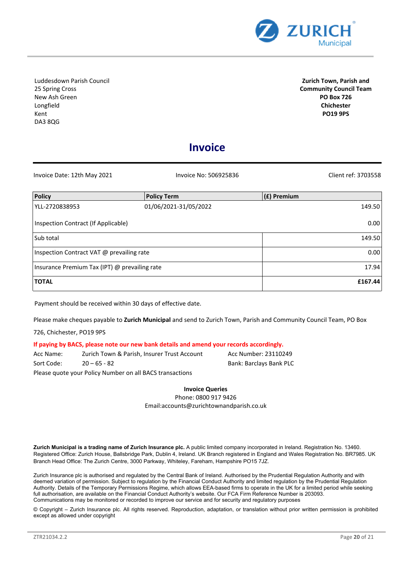

Luddesdown Parish Council 25 Spring Cross New Ash Green Longfield Kent DA3 8QG

**Zurich Town, Parish and Community Council Team PO Box 726 Chichester PO19 9PS**

### **Invoice**

| Invoice Date: 12th May 2021                   | Invoice No: 506925836 | Client ref: 3703558 |
|-----------------------------------------------|-----------------------|---------------------|
| Policy                                        | <b>Policy Term</b>    | $(f)$ Premium       |
| YLL-2720838953                                | 01/06/2021-31/05/2022 | 149.50              |
| Inspection Contract (If Applicable)           |                       | 0.00                |
| Sub total                                     |                       | 149.50              |
| Inspection Contract VAT @ prevailing rate     |                       | 0.00                |
| Insurance Premium Tax (IPT) @ prevailing rate |                       | 17.94               |
| <b>TOTAL</b>                                  |                       | £167.44             |

Payment should be received within 30 days of effective date.

Please make cheques payable to **Zurich Municipal** and send to Zurich Town, Parish and Community Council Team, PO Box

726, Chichester, PO19 9PS

#### **If paying by BACS, please note our new bank details and amend your records accordingly.**

Acc Name: Zurich Town & Parish, Insurer Trust Account Acc Number: 23110249 Sort Code: 20 – 65 - 82 Bank: Barclays Bank PLC

Please quote your Policy Number on all BACS transactions

**Invoice Queries**

Phone: 0800 917 9426 Email:accounts@zurichtownandparish.co.uk

**Zurich Municipal is a trading name of Zurich Insurance plc.** A public limited company incorporated in Ireland. Registration No. 13460. Registered Office: Zurich House, Ballsbridge Park, Dublin 4, Ireland. UK Branch registered in England and Wales Registration No. BR7985. UK Branch Head Office: The Zurich Centre, 3000 Parkway, Whiteley, Fareham, Hampshire PO15 7JZ.

Zurich Insurance plc is authorised and regulated by the Central Bank of Ireland. Authorised by the Prudential Regulation Authority and with deemed variation of permission. Subject to regulation by the Financial Conduct Authority and limited regulation by the Prudential Regulation Authority. Details of the Temporary Permissions Regime, which allows EEA-based firms to operate in the UK for a limited period while seeking full authorisation, are available on the Financial Conduct Authority's website. Our FCA Firm Reference Number is 203093. Communications may be monitored or recorded to improve our service and for security and regulatory purposes

© Copyright – Zurich Insurance plc. All rights reserved. Reproduction, adaptation, or translation without prior written permission is prohibited except as allowed under copyright